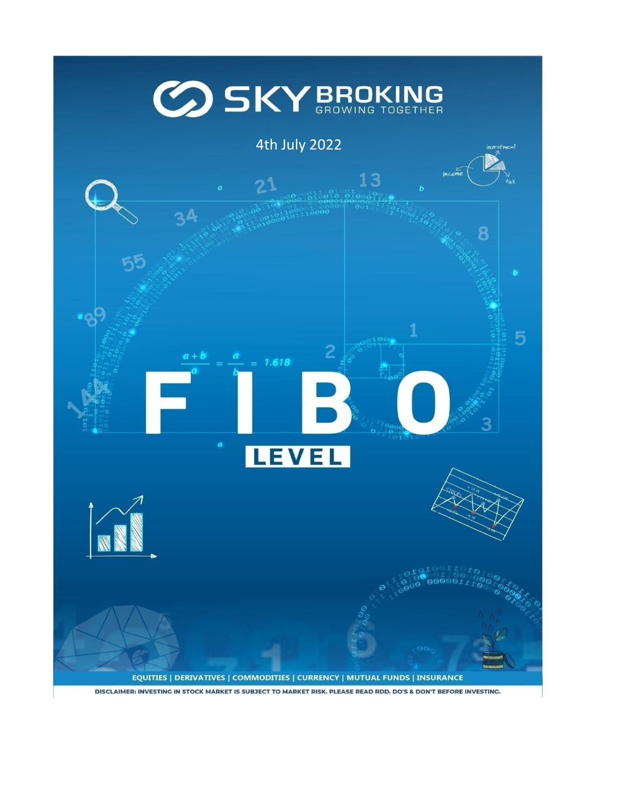

DISCLAIMER: INVESTING IN STOCK MARKET IS SUBJECT TO MARKET RISK. PLEASE READ RDD. DO'S & DON'T BEFORE INVESTING.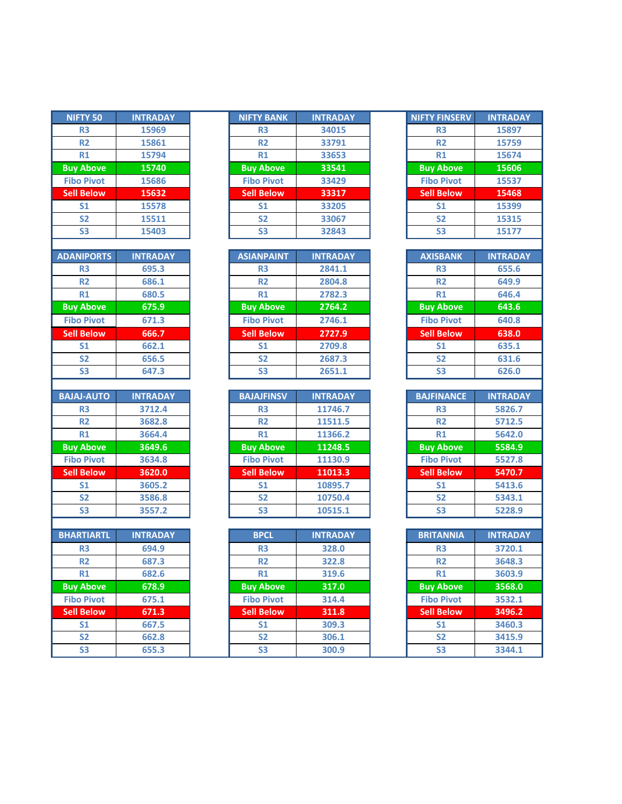| NIFTY 50                 | <b>INTRADAY</b> |
|--------------------------|-----------------|
| R <sub>3</sub>           | 15969           |
| R <sub>2</sub>           | 15861           |
| R1                       | 15794           |
| <b>Buy Above</b>         | 15740           |
| <b>Fibo Pivot</b>        | 15686           |
| <b>Sell Below</b>        | 15632           |
| S <sub>1</sub>           | 15578           |
| S <sub>2</sub>           | 15511           |
| S <sub>3</sub>           | 15403           |
|                          |                 |
| <b>ADANIPORTS</b>        | <b>INTRADAY</b> |
| R <sub>3</sub>           | 695.3           |
| R <sub>2</sub>           | 686.1           |
| $R1$                     | 680.5           |
| <b>Buy Above</b>         | 675.9           |
| <b>Fibo Pivot</b>        | 671.3           |
| <b>Sell Below</b>        | 666.7           |
| S <sub>1</sub>           | 662.1           |
| S <sub>2</sub>           | 656.5           |
| S <sub>3</sub>           | 647.3           |
|                          |                 |
| <b>BAJAJ-AUTO</b>        | <b>INTRADAY</b> |
| R <sub>3</sub>           | 3712.4          |
|                          |                 |
| R <sub>2</sub>           | 3682.8          |
| $R1$                     | 3664.4          |
| <b>Buy Above</b>         | 3649.6          |
| <b>Fibo Pivot</b>        | 3634.8          |
| <b>Sell Below</b>        | 3620.0          |
| S <sub>1</sub>           | 3605.2          |
| <b>S2</b>                | 3586.8          |
| S <sub>3</sub>           | 3557.2          |
|                          |                 |
| <b>BHARTIARTL</b>        | <b>INTRADAY</b> |
| R <sub>3</sub>           | 694.9           |
| R2                       | 687.3           |
| R1                       | 682.6           |
| <b>Buy Above</b>         | 678.9           |
| <b>Fibo Pivot</b>        | 675.1           |
| <b>Sell Below</b>        | 671.3           |
| $\overline{\mathsf{S1}}$ | 667.5           |

| <b>NIFTY 50</b>   | <b>INTRADAY</b> | <b>NIFTY BANK</b> | <b>INTRADAY</b> | <b>NIFTY FINSERV</b> | <b>INTRADAY</b> |
|-------------------|-----------------|-------------------|-----------------|----------------------|-----------------|
| R <sub>3</sub>    | 15969           | R <sub>3</sub>    | 34015           | R <sub>3</sub>       | 15897           |
| <b>R2</b>         | 15861           | <b>R2</b>         | 33791           | <b>R2</b>            | 15759           |
| R1                | 15794           | R1                | 33653           | R1                   | 15674           |
| <b>Buy Above</b>  | 15740           | <b>Buy Above</b>  | 33541           | <b>Buy Above</b>     | 15606           |
| <b>Fibo Pivot</b> | 15686           | <b>Fibo Pivot</b> | 33429           | <b>Fibo Pivot</b>    | 15537           |
| <b>Sell Below</b> | 15632           | <b>Sell Below</b> | 33317           | <b>Sell Below</b>    | 15468           |
| S <sub>1</sub>    | 15578           | S <sub>1</sub>    | 33205           | S <sub>1</sub>       | 15399           |
| <b>S2</b>         | 15511           | <b>S2</b>         | 33067           | <b>S2</b>            | 15315           |
| S <sub>3</sub>    | 15403           | S <sub>3</sub>    | 32843           | S <sub>3</sub>       | 15177           |
|                   |                 |                   |                 |                      |                 |

| <b>ADANIPORTS</b> | <b>INTRADAY</b> | <b>ASIANPAINT</b> | <b>INTRADAY</b> | <b>AXISBANK</b>   | <b>INTRADAY</b> |
|-------------------|-----------------|-------------------|-----------------|-------------------|-----------------|
| R <sub>3</sub>    | 695.3           | R <sub>3</sub>    | 2841.1          | R <sub>3</sub>    | 655.6           |
| R <sub>2</sub>    | 686.1           | <b>R2</b>         | 2804.8          | R <sub>2</sub>    | 649.9           |
| R1                | 680.5           | R1                | 2782.3          | R1                | 646.4           |
| <b>Buy Above</b>  | 675.9           | <b>Buy Above</b>  | 2764.2          | <b>Buy Above</b>  | 643.6           |
| <b>Fibo Pivot</b> | 671.3           | <b>Fibo Pivot</b> | 2746.1          | <b>Fibo Pivot</b> | 640.8           |
| <b>Sell Below</b> | 666.7           | <b>Sell Below</b> | 2727.9          | <b>Sell Below</b> | 638.0           |
| S <sub>1</sub>    | 662.1           | S <sub>1</sub>    | 2709.8          | S <sub>1</sub>    | 635.1           |
| S <sub>2</sub>    | 656.5           | <b>S2</b>         | 2687.3          | S <sub>2</sub>    | 631.6           |
| S <sub>3</sub>    | 647.3           | S <sub>3</sub>    | 2651.1          | S <sub>3</sub>    | 626.0           |

| <b>BAJAJ-AUTO</b> | <b>INTRADAY</b> | <b>BAJAJFINSV</b> | <b>INTRADAY</b> | <b>BAJFINANCE</b> |
|-------------------|-----------------|-------------------|-----------------|-------------------|
| R <sub>3</sub>    | 3712.4          | R <sub>3</sub>    | 11746.7         | R <sub>3</sub>    |
| R <sub>2</sub>    | 3682.8          | <b>R2</b>         | 11511.5         | R <sub>2</sub>    |
| R1                | 3664.4          | R1                | 11366.2         | R1                |
| <b>Buy Above</b>  | 3649.6          | <b>Buy Above</b>  | 11248.5         | <b>Buy Above</b>  |
| <b>Fibo Pivot</b> | 3634.8          | <b>Fibo Pivot</b> | 11130.9         | <b>Fibo Pivot</b> |
| <b>Sell Below</b> | 3620.0          | <b>Sell Below</b> | 11013.3         | <b>Sell Below</b> |
| S <sub>1</sub>    | 3605.2          | S <sub>1</sub>    | 10895.7         | S <sub>1</sub>    |
| <b>S2</b>         | 3586.8          | <b>S2</b>         | 10750.4         | S <sub>2</sub>    |
| S <sub>3</sub>    | 3557.2          | S3                | 10515.1         | S <sub>3</sub>    |

| <b>BHARTIARTL</b> | <b>INTRADAY</b> | <b>BPCL</b>       | <b>INTRADAY</b> | <b>BRITANNIA</b>  | <b>INTRADAY</b> |
|-------------------|-----------------|-------------------|-----------------|-------------------|-----------------|
| R <sub>3</sub>    | 694.9           | R <sub>3</sub>    | 328.0           | R <sub>3</sub>    | 3720.1          |
| R <sub>2</sub>    | 687.3           | <b>R2</b>         | 322.8           | R <sub>2</sub>    | 3648.3          |
| R1                | 682.6           | R1                | 319.6           | R1                | 3603.9          |
| <b>Buy Above</b>  | 678.9           | <b>Buy Above</b>  | 317.0           | <b>Buy Above</b>  | 3568.0          |
| <b>Fibo Pivot</b> | 675.1           | <b>Fibo Pivot</b> | 314.4           | <b>Fibo Pivot</b> | 3532.1          |
| <b>Sell Below</b> | 671.3           | <b>Sell Below</b> | 311.8           | <b>Sell Below</b> | 3496.2          |
| S <sub>1</sub>    | 667.5           | S <sub>1</sub>    | 309.3           | S <sub>1</sub>    | 3460.3          |
| <b>S2</b>         | 662.8           | <b>S2</b>         | 306.1           | <b>S2</b>         | 3415.9          |
| S <sub>3</sub>    | 655.3           | S <sub>3</sub>    | 300.9           | S <sub>3</sub>    | 3344.1          |

| <b>NIFTY FINSERV</b> | <b>INTRADAY</b> |
|----------------------|-----------------|
| R <sub>3</sub>       | 15897           |
| R <sub>2</sub>       | 15759           |
| R1                   | 15674           |
| <b>Buy Above</b>     | 15606           |
| <b>Fibo Pivot</b>    | 15537           |
| <b>Sell Below</b>    | 15468           |
| S <sub>1</sub>       | 15399           |
| <b>S2</b>            | 15315           |
| S3                   | 15177           |

| <b>AXISBANK</b>   | <b>INTRADAY</b> |
|-------------------|-----------------|
| R <sub>3</sub>    | 655.6           |
| R <sub>2</sub>    | 649.9           |
| R1                | 646.4           |
| <b>Buy Above</b>  | 643.6           |
| <b>Fibo Pivot</b> | 640.8           |
| <b>Sell Below</b> | 638.0           |
| S <sub>1</sub>    | 635.1           |
| S <sub>2</sub>    | 631.6           |
| S3                | 626.0           |

| <b>BAJFINANCE</b> | <b>INTRADAY</b> |
|-------------------|-----------------|
| R <sub>3</sub>    | 5826.7          |
| R <sub>2</sub>    | 5712.5          |
| R1                | 5642.0          |
| <b>Buy Above</b>  | 5584.9          |
| <b>Fibo Pivot</b> | 5527.8          |
| <b>Sell Below</b> | 5470.7          |
| S <sub>1</sub>    | 5413.6          |
| <b>S2</b>         | 5343.1          |
| S3                | 5228.9          |

| <b>BRITANNIA</b>  | <b>INTRADAY</b> |
|-------------------|-----------------|
| R <sub>3</sub>    | 3720.1          |
| R <sub>2</sub>    | 3648.3          |
| R1                | 3603.9          |
| <b>Buy Above</b>  | 3568.0          |
| <b>Fibo Pivot</b> | 3532.1          |
| <b>Sell Below</b> | 3496.2          |
| S <sub>1</sub>    | 3460.3          |
| S2                | 3415.9          |
| S <sub>3</sub>    | 3344.1          |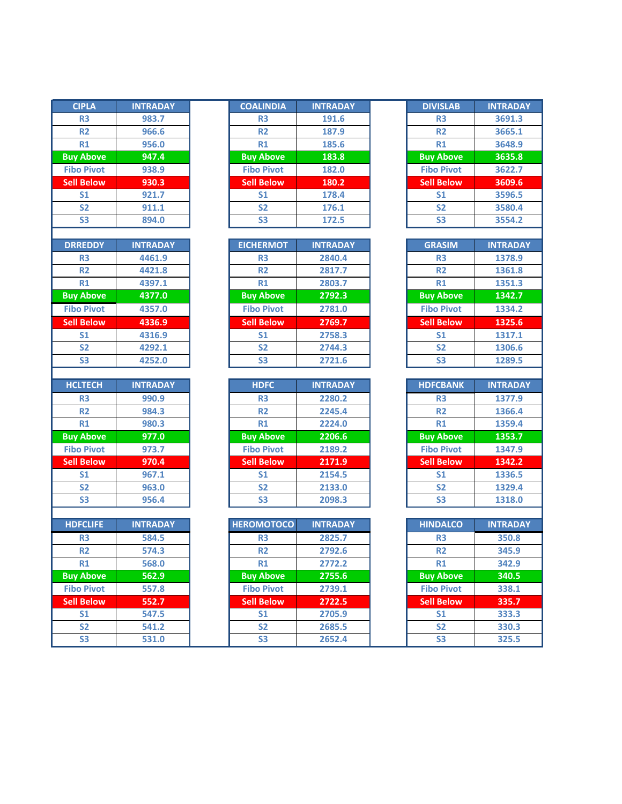| <b>CIPLA</b>         | <b>INTRADAY</b> |
|----------------------|-----------------|
| R <sub>3</sub>       | 983.7           |
| <b>R2</b>            | 966.6           |
| R1                   | 956.0           |
| <b>Buy Above</b>     | 947.4           |
| <b>Fibo Pivot</b>    | 938.9           |
| <b>Sell Below</b>    | 930.3           |
| S <sub>1</sub>       | 921.7           |
| S <sub>2</sub>       | 911.1           |
| S3                   | 894.0           |
|                      |                 |
| <b>DRREDDY</b>       | <b>INTRADAY</b> |
| R3                   | 4461.9          |
| R2                   | 4421.8          |
| R1                   | 4397.1          |
| <b>Buy Above</b>     | 4377.0          |
| <b>Fibo Pivot</b>    | 4357.0          |
| <b>Sell Below</b>    | 4336.9          |
| S <sub>1</sub>       | 4316.9          |
| <b>S2</b>            | 4292.1          |
| S <sub>3</sub>       | 4252.0          |
|                      |                 |
|                      |                 |
| <b>HCLTECH</b>       | <b>INTRADAY</b> |
| R3                   | 990.9           |
| R2                   | 984.3           |
| R1                   | 980.3           |
| <b>Buy Above</b>     | 977.0           |
| <b>Fibo Pivot</b>    | 973.7           |
| <b>Sell Below</b>    | 970.4           |
| S <sub>1</sub>       | 967.1           |
| S <sub>2</sub>       | 963.0           |
| S3                   | 956.4           |
|                      |                 |
| <b>HDFCLIFE</b>      | <b>INTRADAY</b> |
| R <sub>3</sub>       | 584.5           |
| R <sub>2</sub>       | 574.3           |
| R1                   | 568.0           |
| <b>Buy Above</b>     | 562.9           |
| <b>Fibo Pivot</b>    | 557.8           |
| <b>Sell Below</b>    | 552.7           |
| S <sub>1</sub>       | 547.5           |
|                      |                 |
| S <sub>2</sub><br>S3 | 541.2<br>531.0  |

| <b>CIPLA</b>      | <b>INTRADAY</b> | <b>COALINDIA</b>  | <b>INTRADAY</b> | <b>DIVISLAB</b>   | <b>INTRADAY</b> |
|-------------------|-----------------|-------------------|-----------------|-------------------|-----------------|
| R <sub>3</sub>    | 983.7           | R <sub>3</sub>    | 191.6           | R <sub>3</sub>    | 3691.3          |
| R <sub>2</sub>    | 966.6           | <b>R2</b>         | 187.9           | <b>R2</b>         | 3665.1          |
| R1                | 956.0           | R1                | 185.6           | R1                | 3648.9          |
| <b>Buy Above</b>  | 947.4           | <b>Buy Above</b>  | 183.8           | <b>Buy Above</b>  | 3635.8          |
| <b>Fibo Pivot</b> | 938.9           | <b>Fibo Pivot</b> | 182.0           | <b>Fibo Pivot</b> | 3622.7          |
| <b>Sell Below</b> | 930.3           | <b>Sell Below</b> | 180.2           | <b>Sell Below</b> | 3609.6          |
| S <sub>1</sub>    | 921.7           | S <sub>1</sub>    | 178.4           | S <sub>1</sub>    | 3596.5          |
| <b>S2</b>         | 911.1           | S <sub>2</sub>    | 176.1           | <b>S2</b>         | 3580.4          |
| S <sub>3</sub>    | 894.0           | S <sub>3</sub>    | 172.5           | S <sub>3</sub>    | 3554.2          |

| <b>DRREDDY</b>    | <b>INTRADAY</b> | <b>EICHERMOT</b>  | <b>INTRADAY</b> | <b>GRASIM</b>     | <b>INTRADAY</b> |
|-------------------|-----------------|-------------------|-----------------|-------------------|-----------------|
| R <sub>3</sub>    | 4461.9          | R <sub>3</sub>    | 2840.4          | R <sub>3</sub>    | 1378.9          |
| <b>R2</b>         | 4421.8          | <b>R2</b>         | 2817.7          | <b>R2</b>         | 1361.8          |
| R1                | 4397.1          | R1                | 2803.7          | R1                | 1351.3          |
| <b>Buy Above</b>  | 4377.0          | <b>Buy Above</b>  | 2792.3          | <b>Buy Above</b>  | 1342.7          |
| <b>Fibo Pivot</b> | 4357.0          | <b>Fibo Pivot</b> | 2781.0          | <b>Fibo Pivot</b> | 1334.2          |
| <b>Sell Below</b> | 4336.9          | <b>Sell Below</b> | 2769.7          | <b>Sell Below</b> | 1325.6          |
| S <sub>1</sub>    | 4316.9          | S <sub>1</sub>    | 2758.3          | S <sub>1</sub>    | 1317.1          |
| <b>S2</b>         | 4292.1          | <b>S2</b>         | 2744.3          | S <sub>2</sub>    | 1306.6          |
| S <sub>3</sub>    | 4252.0          | S <sub>3</sub>    | 2721.6          | S <sub>3</sub>    | 1289.5          |

| <b>HCLTECH</b>    | <b>INTRADAY</b> | <b>HDFC</b>       | <b>INTRADAY</b> | <b>HDFCBANK</b>   | <b>INTRADAY</b> |
|-------------------|-----------------|-------------------|-----------------|-------------------|-----------------|
| R <sub>3</sub>    | 990.9           | R <sub>3</sub>    | 2280.2          | R <sub>3</sub>    | 1377.9          |
| <b>R2</b>         | 984.3           | <b>R2</b>         | 2245.4          | <b>R2</b>         | 1366.4          |
| R1                | 980.3           | R1                | 2224.0          | R1                | 1359.4          |
| <b>Buy Above</b>  | 977.0           | <b>Buy Above</b>  | 2206.6          | <b>Buy Above</b>  | 1353.7          |
| <b>Fibo Pivot</b> | 973.7           | <b>Fibo Pivot</b> | 2189.2          | <b>Fibo Pivot</b> | 1347.9          |
| <b>Sell Below</b> | 970.4           | <b>Sell Below</b> | 2171.9          | <b>Sell Below</b> | 1342.2          |
| S <sub>1</sub>    | 967.1           | S <sub>1</sub>    | 2154.5          | S <sub>1</sub>    | 1336.5          |
| <b>S2</b>         | 963.0           | <b>S2</b>         | 2133.0          | <b>S2</b>         | 1329.4          |
| S <sub>3</sub>    | 956.4           | S <sub>3</sub>    | 2098.3          | S <sub>3</sub>    | 1318.0          |
|                   |                 |                   |                 |                   |                 |

| <b>HDFCLIFE</b>   | <b>INTRADAY</b> | <b>HEROMOTOCO</b> | <b>INTRADAY</b> | <b>HINDALCO</b>   | <b>INTRADAY</b> |
|-------------------|-----------------|-------------------|-----------------|-------------------|-----------------|
| R <sub>3</sub>    | 584.5           | R <sub>3</sub>    | 2825.7          | R <sub>3</sub>    | 350.8           |
| R <sub>2</sub>    | 574.3           | <b>R2</b>         | 2792.6          | <b>R2</b>         | 345.9           |
| R1                | 568.0           | R1                | 2772.2          | R1                | 342.9           |
| <b>Buy Above</b>  | 562.9           | <b>Buy Above</b>  | 2755.6          | <b>Buy Above</b>  | 340.5           |
| <b>Fibo Pivot</b> | 557.8           | <b>Fibo Pivot</b> | 2739.1          | <b>Fibo Pivot</b> | 338.1           |
| <b>Sell Below</b> | 552.7           | <b>Sell Below</b> | 2722.5          | <b>Sell Below</b> | 335.7           |
| S <sub>1</sub>    | 547.5           | S <sub>1</sub>    | 2705.9          | S <sub>1</sub>    | 333.3           |
| S <sub>2</sub>    | 541.2           | S <sub>2</sub>    | 2685.5          | <b>S2</b>         | 330.3           |
| S <sub>3</sub>    | 531.0           | S <sub>3</sub>    | 2652.4          | S <sub>3</sub>    | 325.5           |

| <b>DIVISLAB</b>   | <b>INTRADAY</b> |
|-------------------|-----------------|
| R <sub>3</sub>    | 3691.3          |
| R <sub>2</sub>    | 3665.1          |
| R1                | 3648.9          |
| <b>Buy Above</b>  | 3635.8          |
| <b>Fibo Pivot</b> | 3622.7          |
| <b>Sell Below</b> | 3609.6          |
| S <sub>1</sub>    | 3596.5          |
| S <sub>2</sub>    | 3580.4          |
| S3                | 3554.2          |

| <b>GRASIM</b>     | <b>INTRADAY</b> |  |  |  |
|-------------------|-----------------|--|--|--|
| R <sub>3</sub>    | 1378.9          |  |  |  |
| R <sub>2</sub>    | 1361.8          |  |  |  |
| R1                | 1351.3          |  |  |  |
| <b>Buy Above</b>  | 1342.7          |  |  |  |
| <b>Fibo Pivot</b> | 1334.2          |  |  |  |
| <b>Sell Below</b> | 1325.6          |  |  |  |
| S <sub>1</sub>    | 1317.1          |  |  |  |
| <b>S2</b>         | 1306.6          |  |  |  |
| S3                | 1289.5          |  |  |  |

| <b>HDFCBANK</b>   | <b>INTRADAY</b> |
|-------------------|-----------------|
| R <sub>3</sub>    | 1377.9          |
| R <sub>2</sub>    | 1366.4          |
| R1                | 1359.4          |
| <b>Buy Above</b>  | 1353.7          |
| <b>Fibo Pivot</b> | 1347.9          |
| <b>Sell Below</b> | 1342.2          |
| S <sub>1</sub>    | 1336.5          |
| S <sub>2</sub>    | 1329.4          |
| S3                | 1318.0          |

| <b>HINDALCO</b>   | <b>INTRADAY</b> |  |  |  |  |
|-------------------|-----------------|--|--|--|--|
| R <sub>3</sub>    | 350.8           |  |  |  |  |
| R <sub>2</sub>    | 345.9           |  |  |  |  |
| R1                | 342.9           |  |  |  |  |
| <b>Buy Above</b>  | 340.5           |  |  |  |  |
| <b>Fibo Pivot</b> | 338.1           |  |  |  |  |
| <b>Sell Below</b> | 335.7           |  |  |  |  |
| S <sub>1</sub>    | 333.3           |  |  |  |  |
| <b>S2</b>         | 330.3           |  |  |  |  |
| S3                | 325.5           |  |  |  |  |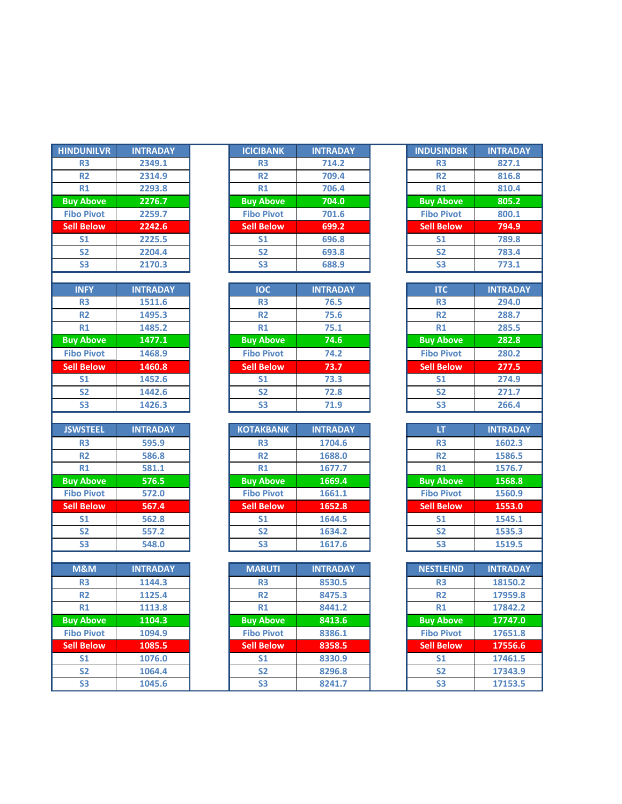| <b>HINDUNILVR</b>                        | <b>INTRADAY</b>  |  |  |  |  |
|------------------------------------------|------------------|--|--|--|--|
| R <sub>3</sub>                           | 2349.1           |  |  |  |  |
| R <sub>2</sub>                           | 2314.9           |  |  |  |  |
| R1                                       | 2293.8           |  |  |  |  |
| <b>Buy Above</b>                         | 2276.7           |  |  |  |  |
| <b>Fibo Pivot</b>                        | 2259.7           |  |  |  |  |
| <b>Sell Below</b>                        | 2242.6           |  |  |  |  |
| S <sub>1</sub>                           | 2225.5           |  |  |  |  |
| $\overline{\mathsf{S2}}$                 | 2204.4           |  |  |  |  |
| S3                                       | 2170.3           |  |  |  |  |
|                                          |                  |  |  |  |  |
| <b>INFY</b>                              | <b>INTRADAY</b>  |  |  |  |  |
| R <sub>3</sub>                           | 1511.6           |  |  |  |  |
| R <sub>2</sub>                           | 1495.3           |  |  |  |  |
| R1                                       | 1485.2           |  |  |  |  |
| <b>Buy Above</b>                         | 1477.1           |  |  |  |  |
| <b>Fibo Pivot</b>                        | 1468.9           |  |  |  |  |
| <b>Sell Below</b>                        | 1460.8           |  |  |  |  |
| S <sub>1</sub>                           | 1452.6           |  |  |  |  |
| S <sub>2</sub>                           | 1442.6           |  |  |  |  |
| S <sub>3</sub>                           | 1426.3           |  |  |  |  |
|                                          |                  |  |  |  |  |
|                                          |                  |  |  |  |  |
| <b>JSWSTEEL</b>                          | <b>INTRADAY</b>  |  |  |  |  |
| R <sub>3</sub>                           | 595.9            |  |  |  |  |
| R <sub>2</sub>                           | 586.8            |  |  |  |  |
| R1                                       | 581.1            |  |  |  |  |
| <b>Buy Above</b>                         | 576.5            |  |  |  |  |
| <b>Fibo Pivot</b>                        | 572.0            |  |  |  |  |
| <b>Sell Below</b>                        | 567.4            |  |  |  |  |
| S <sub>1</sub>                           | 562.8            |  |  |  |  |
| S <sub>2</sub>                           | 557.2            |  |  |  |  |
| S3                                       | 548.0            |  |  |  |  |
|                                          |                  |  |  |  |  |
| <b>M&amp;M</b>                           | <b>INTRADAY</b>  |  |  |  |  |
| R3                                       | 1144.3           |  |  |  |  |
| R2                                       | 1125.4           |  |  |  |  |
| R1                                       | 1113.8           |  |  |  |  |
| <b>Buy Above</b>                         | 1104.3           |  |  |  |  |
| <b>Fibo Pivot</b>                        | 1094.9           |  |  |  |  |
| <b>Sell Below</b>                        | 1085.5           |  |  |  |  |
| $\overline{\text{S1}}$<br>S <sub>2</sub> | 1076.0<br>1064.4 |  |  |  |  |

| <b>HINDUNILVR</b> | <b>INTRADAY</b> | <b>ICICIBANK</b>  | <b>INTRADAY</b> | <b>INDUSINDBK</b> | <b>INTRADAY</b> |
|-------------------|-----------------|-------------------|-----------------|-------------------|-----------------|
| R <sub>3</sub>    | 2349.1          | R <sub>3</sub>    | 714.2           | R <sub>3</sub>    | 827.1           |
| R <sub>2</sub>    | 2314.9          | R <sub>2</sub>    | 709.4           | <b>R2</b>         | 816.8           |
| R1                | 2293.8          | R1                | 706.4           | R1                | 810.4           |
| <b>Buy Above</b>  | 2276.7          | <b>Buy Above</b>  | 704.0           | <b>Buy Above</b>  | 805.2           |
| <b>Fibo Pivot</b> | 2259.7          | <b>Fibo Pivot</b> | 701.6           | <b>Fibo Pivot</b> | 800.1           |
| <b>Sell Below</b> | 2242.6          | <b>Sell Below</b> | 699.2           | <b>Sell Below</b> | 794.9           |
| S <sub>1</sub>    | 2225.5          | S <sub>1</sub>    | 696.8           | S <sub>1</sub>    | 789.8           |
| <b>S2</b>         | 2204.4          | <b>S2</b>         | 693.8           | S <sub>2</sub>    | 783.4           |
| S <sub>3</sub>    | 2170.3          | S <sub>3</sub>    | 688.9           | S <sub>3</sub>    | 773.1           |

| <b>INFY</b>       | <b>INTRADAY</b> | <b>IOC</b>        | <b>INTRADAY</b> |  | <b>ITC</b>        |
|-------------------|-----------------|-------------------|-----------------|--|-------------------|
| R <sub>3</sub>    | 1511.6          | R <sub>3</sub>    | 76.5            |  | R <sub>3</sub>    |
| R <sub>2</sub>    | 1495.3          | R <sub>2</sub>    | 75.6            |  | <b>R2</b>         |
| R1                | 1485.2          | R1                | 75.1            |  | R1                |
| <b>Buy Above</b>  | 1477.1          | <b>Buy Above</b>  | 74.6            |  | <b>Buy Above</b>  |
| <b>Fibo Pivot</b> | 1468.9          | <b>Fibo Pivot</b> | 74.2            |  | <b>Fibo Pivot</b> |
| <b>Sell Below</b> | 1460.8          | <b>Sell Below</b> | 73.7            |  | <b>Sell Below</b> |
| S <sub>1</sub>    | 1452.6          | S <sub>1</sub>    | 73.3            |  | S <sub>1</sub>    |
| <b>S2</b>         | 1442.6          | <b>S2</b>         | 72.8            |  | S <sub>2</sub>    |
| S <sub>3</sub>    | 1426.3          | S <sub>3</sub>    | 71.9            |  | S <sub>3</sub>    |

| <b>JSWSTEEL</b>   | <b>INTRADAY</b> | <b>KOTAKBANK</b>  | <b>INTRADAY</b> | LT                | <b>INTRADAY</b> |
|-------------------|-----------------|-------------------|-----------------|-------------------|-----------------|
| R <sub>3</sub>    | 595.9           | R <sub>3</sub>    | 1704.6          | R <sub>3</sub>    | 1602.3          |
| <b>R2</b>         | 586.8           | <b>R2</b>         | 1688.0          | <b>R2</b>         | 1586.5          |
| R1                | 581.1           | R1                | 1677.7          | R1                | 1576.7          |
| <b>Buy Above</b>  | 576.5           | <b>Buy Above</b>  | 1669.4          | <b>Buy Above</b>  | 1568.8          |
| <b>Fibo Pivot</b> | 572.0           | <b>Fibo Pivot</b> | 1661.1          | <b>Fibo Pivot</b> | 1560.9          |
| <b>Sell Below</b> | 567.4           | <b>Sell Below</b> | 1652.8          | <b>Sell Below</b> | 1553.0          |
| S <sub>1</sub>    | 562.8           | S <sub>1</sub>    | 1644.5          | S <sub>1</sub>    | 1545.1          |
| S <sub>2</sub>    | 557.2           | <b>S2</b>         | 1634.2          | S <sub>2</sub>    | 1535.3          |
| S <sub>3</sub>    | 548.0           | S <sub>3</sub>    | 1617.6          | S <sub>3</sub>    | 1519.5          |

| M&M               | <b>INTRADAY</b> | <b>MARUTI</b>     | <b>INTRADAY</b> | <b>NESTLEIND</b>  | <b>INTRADAY</b> |
|-------------------|-----------------|-------------------|-----------------|-------------------|-----------------|
| R <sub>3</sub>    | 1144.3          | R <sub>3</sub>    | 8530.5          | R <sub>3</sub>    | 18150.2         |
| R <sub>2</sub>    | 1125.4          | <b>R2</b>         | 8475.3          | <b>R2</b>         | 17959.8         |
| R1                | 1113.8          | R1                | 8441.2          | R1                | 17842.2         |
| <b>Buy Above</b>  | 1104.3          | <b>Buy Above</b>  | 8413.6          | <b>Buy Above</b>  | 17747.0         |
| <b>Fibo Pivot</b> | 1094.9          | <b>Fibo Pivot</b> | 8386.1          | <b>Fibo Pivot</b> | 17651.8         |
| <b>Sell Below</b> | 1085.5          | <b>Sell Below</b> | 8358.5          | <b>Sell Below</b> | 17556.6         |
| S <sub>1</sub>    | 1076.0          | S <sub>1</sub>    | 8330.9          | <b>S1</b>         | 17461.5         |
| S <sub>2</sub>    | 1064.4          | <b>S2</b>         | 8296.8          | <b>S2</b>         | 17343.9         |
| S <sub>3</sub>    | 1045.6          | S <sub>3</sub>    | 8241.7          | S <sub>3</sub>    | 17153.5         |

| <b>INDUSINDBK</b>        | <b>INTRADAY</b>    |  |  |  |  |
|--------------------------|--------------------|--|--|--|--|
| R <sub>3</sub>           | 827.1              |  |  |  |  |
| R <sub>2</sub>           | 816.8              |  |  |  |  |
| R1                       | 810.4              |  |  |  |  |
| <b>Buy Above</b>         | 805.2              |  |  |  |  |
| <b>Fibo Pivot</b>        | 800.1              |  |  |  |  |
| <b>Sell Below</b>        | 794.9              |  |  |  |  |
| S <sub>1</sub>           | 789.8              |  |  |  |  |
| S <sub>2</sub>           | 783.4              |  |  |  |  |
| <b>S3</b>                | 773.1              |  |  |  |  |
|                          |                    |  |  |  |  |
| <b>ITC</b>               | <b>INTRADAY</b>    |  |  |  |  |
| R <sub>3</sub>           | 294.0              |  |  |  |  |
| R <sub>2</sub>           | 288.7              |  |  |  |  |
| R1                       | 285.5              |  |  |  |  |
| <b>Buy Above</b>         | 282.8              |  |  |  |  |
| <b>Fibo Pivot</b>        | 280.2              |  |  |  |  |
| <b>Sell Below</b>        | 277.5              |  |  |  |  |
| S <sub>1</sub>           | 274.9              |  |  |  |  |
| S <sub>2</sub>           | 271.7              |  |  |  |  |
| <b>S3</b>                | 266.4              |  |  |  |  |
|                          |                    |  |  |  |  |
| ίT                       | <b>INTRADAY</b>    |  |  |  |  |
| R <sub>3</sub>           | 1602.3             |  |  |  |  |
| <b>R2</b>                | 1586.5             |  |  |  |  |
| R1                       | 1576.7             |  |  |  |  |
| <b>Buy Above</b>         | 1568.8             |  |  |  |  |
| <b>Fibo Pivot</b>        | 1560.9             |  |  |  |  |
| <b>Sell Below</b>        | 1553.0             |  |  |  |  |
| S <sub>1</sub>           | 1545.1             |  |  |  |  |
| <b>S2</b>                | 1535.3             |  |  |  |  |
| S <sub>3</sub>           | 1519.5             |  |  |  |  |
| <b>NESTLEIND</b>         | <b>INTRADAY</b>    |  |  |  |  |
|                          |                    |  |  |  |  |
| R <sub>3</sub>           | 18150.2<br>17959.8 |  |  |  |  |
| R2                       |                    |  |  |  |  |
| R1<br><b>Buy Above</b>   | 17842.2<br>17747.0 |  |  |  |  |
| <b>Fibo Pivot</b>        |                    |  |  |  |  |
| <b>Sell Below</b>        | 17651.8<br>17556.6 |  |  |  |  |
| $\overline{\mathsf{S1}}$ | 17461.5            |  |  |  |  |
| $\overline{\text{S2}}$   | 17343.9            |  |  |  |  |
| $\overline{\text{S3}}$   |                    |  |  |  |  |
|                          | 17153.5            |  |  |  |  |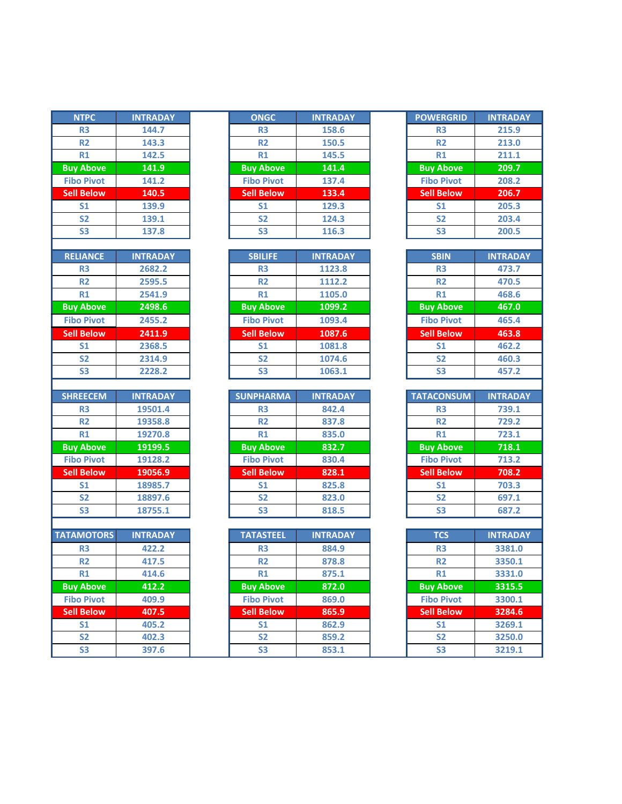| <b>NTPC</b>       | <b>INTRADAY</b> |  |  |
|-------------------|-----------------|--|--|
| R <sub>3</sub>    | 144.7           |  |  |
| <b>R2</b>         | 143.3           |  |  |
| R <sub>1</sub>    | 142.5           |  |  |
| <b>Buy Above</b>  | 141.9           |  |  |
| <b>Fibo Pivot</b> | 141.2           |  |  |
| <b>Sell Below</b> | 140.5           |  |  |
| S <sub>1</sub>    | 139.9           |  |  |
| <b>S2</b>         | 139.1           |  |  |
| S3                | 137.8           |  |  |
|                   |                 |  |  |
| <b>RELIANCE</b>   | <b>INTRADAY</b> |  |  |
| R <sub>3</sub>    | 2682.2          |  |  |
| <b>R2</b>         | 2595.5          |  |  |
| <b>R1</b>         | 2541.9          |  |  |
| <b>Buy Above</b>  | 2498.6          |  |  |
| <b>Fibo Pivot</b> | 2455.2          |  |  |
| <b>Sell Below</b> | 2411.9          |  |  |
| S <sub>1</sub>    | 2368.5          |  |  |
| S <sub>2</sub>    | 2314.9          |  |  |
| S3                | 2228.2          |  |  |
|                   |                 |  |  |
| <b>SHREECEM</b>   | <b>INTRADAY</b> |  |  |
| R <sub>3</sub>    | 19501.4         |  |  |
| <b>R2</b>         | 19358.8         |  |  |
| R1                | 19270.8         |  |  |
| <b>Buy Above</b>  | 19199.5         |  |  |
| <b>Fibo Pivot</b> | 19128.2         |  |  |
| <b>Sell Below</b> | 19056.9         |  |  |
| <b>S1</b>         | 18985.7         |  |  |
| S2                | 18897.6         |  |  |
| S3                | 18755.1         |  |  |
|                   |                 |  |  |
| <b>TATAMOTORS</b> | <b>INTRADAY</b> |  |  |
| R <sub>3</sub>    | 422.2           |  |  |
| <b>R2</b>         | 417.5           |  |  |
| R1                | 414.6           |  |  |
| <b>Buy Above</b>  | 412.2           |  |  |
| <b>Fibo Pivot</b> | 409.9           |  |  |
| <b>Sell Below</b> | 407.5           |  |  |
| S <sub>1</sub>    | 405.2           |  |  |
| <b>CO</b>         | כ רחו           |  |  |

| <b>NTPC</b>       | <b>INTRADAY</b> | <b>ONGC</b>       | <b>INTRADAY</b> | <b>POWERGRID</b>  | <b>INTRADAY</b> |
|-------------------|-----------------|-------------------|-----------------|-------------------|-----------------|
| <b>R3</b>         | 144.7           | R <sub>3</sub>    | 158.6           | R <sub>3</sub>    | 215.9           |
| <b>R2</b>         | 143.3           | <b>R2</b>         | 150.5           | <b>R2</b>         | 213.0           |
| R1                | 142.5           | R1                | 145.5           | R1                | 211.1           |
| <b>Buy Above</b>  | 141.9           | <b>Buy Above</b>  | 141.4           | <b>Buy Above</b>  | 209.7           |
| <b>Fibo Pivot</b> | 141.2           | <b>Fibo Pivot</b> | 137.4           | <b>Fibo Pivot</b> | 208.2           |
| <b>Sell Below</b> | 140.5           | <b>Sell Below</b> | 133.4           | <b>Sell Below</b> | 206.7           |
| S <sub>1</sub>    | 139.9           | S <sub>1</sub>    | 129.3           | S <sub>1</sub>    | 205.3           |
| <b>S2</b>         | 139.1           | <b>S2</b>         | 124.3           | <b>S2</b>         | 203.4           |
| S <sub>3</sub>    | 137.8           | S <sub>3</sub>    | 116.3           | S3                | 200.5           |

| <b>SBILIFE</b><br><b>RELIANCE</b><br><b>INTRADAY</b> | <b>INTRADAY</b><br><b>SBIN</b> |
|------------------------------------------------------|--------------------------------|
|                                                      |                                |
| 2682.2                                               | 1123.8                         |
| R <sub>3</sub>                                       | R <sub>3</sub>                 |
| R <sub>3</sub>                                       | 473.7                          |
| R <sub>2</sub>                                       | 1112.2                         |
| 2595.5                                               | <b>R2</b>                      |
| <b>R2</b>                                            | 470.5                          |
| 2541.9                                               | 1105.0                         |
| R1                                                   | 468.6                          |
| R1                                                   | R1                             |
| 2498.6                                               | 1099.2                         |
| <b>Buy Above</b>                                     | 467.0                          |
| <b>Buy Above</b>                                     | <b>Buy Above</b>               |
| <b>Fibo Pivot</b>                                    | <b>Fibo Pivot</b>              |
| <b>Fibo Pivot</b>                                    | 1093.4                         |
| 2455.2                                               | 465.4                          |
| <b>Sell Below</b>                                    | <b>Sell Below</b>              |
| <b>Sell Below</b>                                    | 463.8                          |
| 2411.9                                               | 1087.6                         |
| 2368.5                                               | 1081.8                         |
| S <sub>1</sub>                                       | 462.2                          |
| S <sub>1</sub>                                       | S <sub>1</sub>                 |
| <b>S2</b>                                            | 1074.6                         |
| <b>S2</b>                                            | <b>S2</b>                      |
| 2314.9                                               | 460.3                          |
| 2228.2                                               | 1063.1                         |
| <b>S3</b>                                            | 457.2                          |
| S <sub>3</sub>                                       | S <sub>3</sub>                 |

| <b>SHREECEM</b>   | <b>INTRADAY</b> | <b>SUNPHARMA</b>  | <b>INTRADAY</b> | <b>TATACONSUM</b> |  |
|-------------------|-----------------|-------------------|-----------------|-------------------|--|
| R <sub>3</sub>    | 19501.4         | R <sub>3</sub>    | 842.4           | R <sub>3</sub>    |  |
| <b>R2</b>         | 19358.8         | R <sub>2</sub>    | 837.8           | <b>R2</b>         |  |
| R1                | 19270.8         | R1                | 835.0           | R1                |  |
| <b>Buy Above</b>  | 19199.5         | <b>Buy Above</b>  | 832.7           | <b>Buy Above</b>  |  |
| <b>Fibo Pivot</b> | 19128.2         | <b>Fibo Pivot</b> | 830.4           | <b>Fibo Pivot</b> |  |
| <b>Sell Below</b> | 19056.9         | <b>Sell Below</b> | 828.1           | <b>Sell Below</b> |  |
| S <sub>1</sub>    | 18985.7         | S <sub>1</sub>    | 825.8           | S <sub>1</sub>    |  |
| <b>S2</b>         | 18897.6         | <b>S2</b>         | 823.0           | S <sub>2</sub>    |  |
| S <sub>3</sub>    | 18755.1         | S <sub>3</sub>    | 818.5           | S <sub>3</sub>    |  |

| <b>TATAMOTORS</b> | <b>INTRADAY</b> | <b>TATASTEEL</b>  | <b>INTRADAY</b> | <b>TCS</b>        | <b>INTRADAY</b> |
|-------------------|-----------------|-------------------|-----------------|-------------------|-----------------|
| R <sub>3</sub>    | 422.2           | R <sub>3</sub>    | 884.9           | <b>R3</b>         | 3381.0          |
| <b>R2</b>         | 417.5           | R <sub>2</sub>    | 878.8           | <b>R2</b>         | 3350.1          |
| R1                | 414.6           | R1                | 875.1           | R1                | 3331.0          |
| <b>Buy Above</b>  | 412.2           | <b>Buy Above</b>  | 872.0           | <b>Buy Above</b>  | 3315.5          |
| <b>Fibo Pivot</b> | 409.9           | <b>Fibo Pivot</b> | 869.0           | <b>Fibo Pivot</b> | 3300.1          |
| <b>Sell Below</b> | 407.5           | <b>Sell Below</b> | 865.9           | <b>Sell Below</b> | 3284.6          |
| S <sub>1</sub>    | 405.2           | S <sub>1</sub>    | 862.9           | S <sub>1</sub>    | 3269.1          |
| S <sub>2</sub>    | 402.3           | S <sub>2</sub>    | 859.2           | S <sub>2</sub>    | 3250.0          |
| S <sub>3</sub>    | 397.6           | S <sub>3</sub>    | 853.1           | S <sub>3</sub>    | 3219.1          |
|                   |                 |                   |                 |                   |                 |

| <b>POWERGRID</b>  | <b>INTRADAY</b> |
|-------------------|-----------------|
| R <sub>3</sub>    | 215.9           |
| R <sub>2</sub>    | 213.0           |
| R1                | 211.1           |
| <b>Buy Above</b>  | 209.7           |
| <b>Fibo Pivot</b> | 208.2           |
| <b>Sell Below</b> | 206.7           |
| S <sub>1</sub>    | 205.3           |
| <b>S2</b>         | 203.4           |
| S3                | 200.5           |

| <b>SBIN</b>       | <b>INTRADAY</b> |
|-------------------|-----------------|
| R <sub>3</sub>    | 473.7           |
| R <sub>2</sub>    | 470.5           |
| R1                | 468.6           |
| <b>Buy Above</b>  | 467.0           |
| <b>Fibo Pivot</b> | 465.4           |
| <b>Sell Below</b> | 463.8           |
| S <sub>1</sub>    | 462.2           |
| S <sub>2</sub>    | 460.3           |
| S3                | 457.2           |

| <b>TATACONSUM</b> | <b>INTRADAY</b> |
|-------------------|-----------------|
| R <sub>3</sub>    | 739.1           |
| R <sub>2</sub>    | 729.2           |
| R1                | 723.1           |
| <b>Buy Above</b>  | 718.1           |
| <b>Fibo Pivot</b> | 713.2           |
| <b>Sell Below</b> | 708.2           |
| S <sub>1</sub>    | 703.3           |
| S <sub>2</sub>    | 697.1           |
| S <sub>3</sub>    | 687.2           |

| <b>TCS</b>        | <b>INTRADAY</b> |
|-------------------|-----------------|
| R <sub>3</sub>    | 3381.0          |
| R <sub>2</sub>    | 3350.1          |
| R1                | 3331.0          |
| <b>Buy Above</b>  | 3315.5          |
| <b>Fibo Pivot</b> | 3300.1          |
| <b>Sell Below</b> | 3284.6          |
| S <sub>1</sub>    | 3269.1          |
| <b>S2</b>         | 3250.0          |
| S3                | 3219.1          |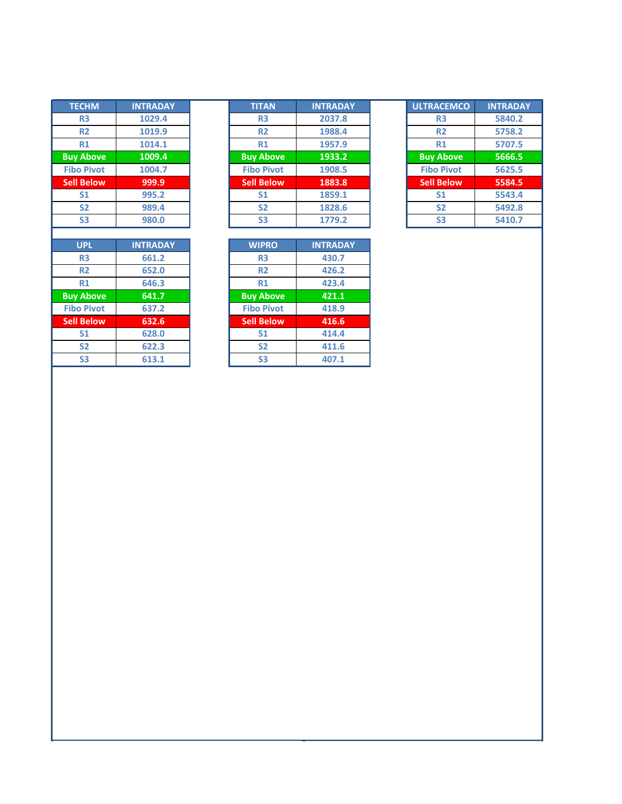| <b>TECHM</b>      | <b>INTRADAY</b> | <b>TITAN</b>      | <b>INTRAD</b> |
|-------------------|-----------------|-------------------|---------------|
| R3                | 1029.4          | R <sub>3</sub>    | 2037.8        |
| <b>R2</b>         | 1019.9          | R <sub>2</sub>    | 1988.4        |
| R1                | 1014.1          | R1                | 1957.9        |
| <b>Buy Above</b>  | 1009.4          | <b>Buy Above</b>  | 1933.2        |
| <b>Fibo Pivot</b> | 1004.7          | <b>Fibo Pivot</b> | 1908.         |
| <b>Sell Below</b> | 999.9           | <b>Sell Below</b> | 1883.8        |
| S <sub>1</sub>    | 995.2           | <b>S1</b>         | 1859.         |
| <b>S2</b>         | 989.4           | <b>S2</b>         | 1828.6        |
| S <sub>3</sub>    | 980.0           | S <sub>3</sub>    | 1779.2        |
|                   |                 |                   |               |
|                   |                 |                   |               |
| <b>UPL</b>        | <b>INTRADAY</b> | <b>WIPRO</b>      | <b>INTRAD</b> |
| R <sub>3</sub>    | 661.2           | R <sub>3</sub>    | 430.7         |
| <b>R2</b>         | 652.0           | <b>R2</b>         | 426.2         |
| R1                | 646.3           | R1                | 423.4         |
| <b>Buy Above</b>  | 641.7           | <b>Buy Above</b>  | 421.1         |
| <b>Fibo Pivot</b> | 637.2           | <b>Fibo Pivot</b> | 418.9         |
| <b>Sell Below</b> | 632.6           | <b>Sell Below</b> | 416.6         |
| S <sub>1</sub>    | 628.0           | <b>S1</b>         | 414.4         |
| <b>S2</b>         | 622.3           | <b>S2</b>         | 411.6         |

| <b>TECHM</b>      | <b>INTRADAY</b> | <b>TITAN</b>      | <b>INTRADAY</b> | <b>ULTRACEMCO</b> | <b>INTRADAY</b> |
|-------------------|-----------------|-------------------|-----------------|-------------------|-----------------|
| R <sub>3</sub>    | 1029.4          | R <sub>3</sub>    | 2037.8          | R <sub>3</sub>    | 5840.2          |
| <b>R2</b>         | 1019.9          | <b>R2</b>         | 1988.4          | <b>R2</b>         | 5758.2          |
| R1                | 1014.1          | R1                | 1957.9          | R1                | 5707.5          |
| <b>Buy Above</b>  | 1009.4          | <b>Buy Above</b>  | 1933.2          | <b>Buy Above</b>  | 5666.5          |
| <b>Fibo Pivot</b> | 1004.7          | <b>Fibo Pivot</b> | 1908.5          | <b>Fibo Pivot</b> | 5625.5          |
| <b>Sell Below</b> | 999.9           | <b>Sell Below</b> | 1883.8          | <b>Sell Below</b> | 5584.5          |
| S <sub>1</sub>    | 995.2           | S <sub>1</sub>    | 1859.1          | S <sub>1</sub>    | 5543.4          |
| <b>S2</b>         | 989.4           | S <sub>2</sub>    | 1828.6          | S <sub>2</sub>    | 5492.8          |
| S <sub>3</sub>    | 980.0           | S <sub>3</sub>    | 1779.2          | S <sub>3</sub>    | 5410.7          |

| <b>UPL</b>     | <b>INTRADAY</b> | <b>WIPRO</b>      | <b>INTRADAY</b> |
|----------------|-----------------|-------------------|-----------------|
| R <sub>3</sub> | 661.2           | R <sub>3</sub>    | 430.7           |
| R <sub>2</sub> | 652.0           | R <sub>2</sub>    | 426.2           |
| R1             | 646.3           | R1                | 423.4           |
| <b>Above</b>   | 641.7           | <b>Buy Above</b>  | 421.1           |
| o Pivot        | 637.2           | <b>Fibo Pivot</b> | 418.9           |
| <b>Below</b>   | 632.6           | <b>Sell Below</b> | 416.6           |
| S <sub>1</sub> | 628.0           | S <sub>1</sub>    | 414.4           |
| S <sub>2</sub> | 622.3           | S <sub>2</sub>    | 411.6           |
| S <sub>3</sub> | 613.1           | S <sub>3</sub>    | 407.1           |

| <b>ULTRACEMCO</b> | <b>INTRADAY</b> |
|-------------------|-----------------|
| R <sub>3</sub>    | 5840.2          |
| R <sub>2</sub>    | 5758.2          |
| R1                | 5707.5          |
| <b>Buy Above</b>  | 5666.5          |
| <b>Fibo Pivot</b> | 5625.5          |
| <b>Sell Below</b> | 5584.5          |
| S <sub>1</sub>    | 5543.4          |
| <b>S2</b>         | 5492.8          |
| S <sub>3</sub>    | 5410.7          |